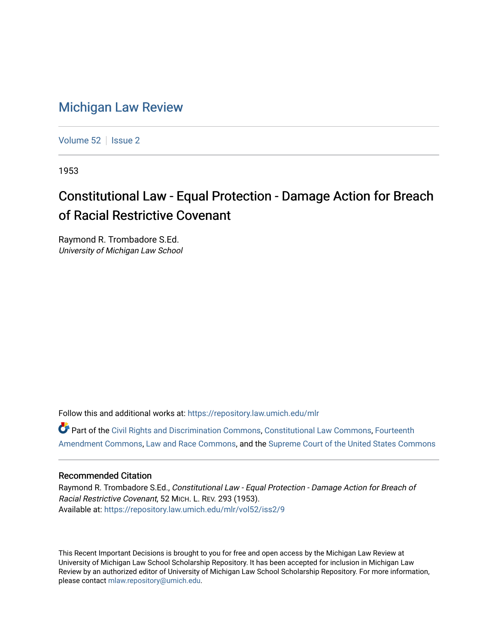## [Michigan Law Review](https://repository.law.umich.edu/mlr)

[Volume 52](https://repository.law.umich.edu/mlr/vol52) | [Issue 2](https://repository.law.umich.edu/mlr/vol52/iss2)

1953

## Constitutional Law - Equal Protection - Damage Action for Breach of Racial Restrictive Covenant

Raymond R. Trombadore S.Ed. University of Michigan Law School

Follow this and additional works at: [https://repository.law.umich.edu/mlr](https://repository.law.umich.edu/mlr?utm_source=repository.law.umich.edu%2Fmlr%2Fvol52%2Fiss2%2F9&utm_medium=PDF&utm_campaign=PDFCoverPages) 

Part of the [Civil Rights and Discrimination Commons,](http://network.bepress.com/hgg/discipline/585?utm_source=repository.law.umich.edu%2Fmlr%2Fvol52%2Fiss2%2F9&utm_medium=PDF&utm_campaign=PDFCoverPages) [Constitutional Law Commons,](http://network.bepress.com/hgg/discipline/589?utm_source=repository.law.umich.edu%2Fmlr%2Fvol52%2Fiss2%2F9&utm_medium=PDF&utm_campaign=PDFCoverPages) [Fourteenth](http://network.bepress.com/hgg/discipline/1116?utm_source=repository.law.umich.edu%2Fmlr%2Fvol52%2Fiss2%2F9&utm_medium=PDF&utm_campaign=PDFCoverPages)  [Amendment Commons](http://network.bepress.com/hgg/discipline/1116?utm_source=repository.law.umich.edu%2Fmlr%2Fvol52%2Fiss2%2F9&utm_medium=PDF&utm_campaign=PDFCoverPages), [Law and Race Commons](http://network.bepress.com/hgg/discipline/1300?utm_source=repository.law.umich.edu%2Fmlr%2Fvol52%2Fiss2%2F9&utm_medium=PDF&utm_campaign=PDFCoverPages), and the [Supreme Court of the United States Commons](http://network.bepress.com/hgg/discipline/1350?utm_source=repository.law.umich.edu%2Fmlr%2Fvol52%2Fiss2%2F9&utm_medium=PDF&utm_campaign=PDFCoverPages) 

## Recommended Citation

Raymond R. Trombadore S.Ed., Constitutional Law - Equal Protection - Damage Action for Breach of Racial Restrictive Covenant, 52 MICH. L. REV. 293 (1953). Available at: [https://repository.law.umich.edu/mlr/vol52/iss2/9](https://repository.law.umich.edu/mlr/vol52/iss2/9?utm_source=repository.law.umich.edu%2Fmlr%2Fvol52%2Fiss2%2F9&utm_medium=PDF&utm_campaign=PDFCoverPages)

This Recent Important Decisions is brought to you for free and open access by the Michigan Law Review at University of Michigan Law School Scholarship Repository. It has been accepted for inclusion in Michigan Law Review by an authorized editor of University of Michigan Law School Scholarship Repository. For more information, please contact [mlaw.repository@umich.edu.](mailto:mlaw.repository@umich.edu)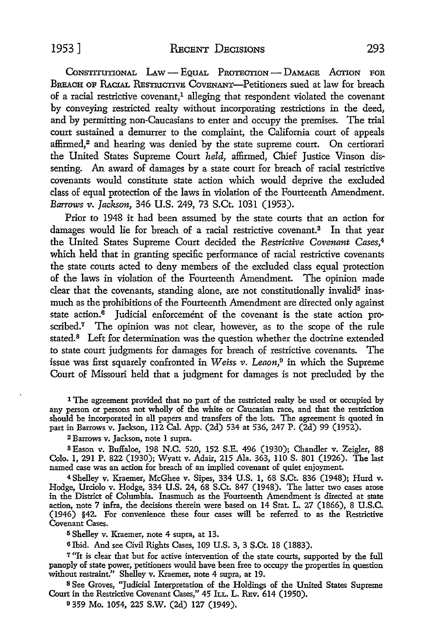**CONSTITUTIONAL** LAw **-** EQUAL **PROTEOTIoN - DAAGE** ACrION FOR BREACH OF RACIAL RESTRICTIVE COVENANT-Petitioners sued at law for breach of a racial restrictive covenant,<sup>1</sup> alleging that respondent violated the covenant by conveying restricted realty without incorporating restrictions in the deed, and by permitting non-Caucasians to enter and occupy the premises. The trial court sustained a demurrer to the complaint, the California court of appeals affirmed,<sup>2</sup> and hearing was denied by the state supreme court. On certiorari the United States Supreme Court *held,* affirmed, Chief Justice Vinson dissenting. An award of damages by a state court for breach of racial restrictive covenants would constitute state action which would deprive the excluded class of equal protection of the laws in violation of the Fourteenth Amendment. *Barrows v. Jackson,* 346 U.S. 249, 73 S.Ct. 1031 (1953).

Prior to 1948 it had been assumed by the state courts that an action for damages would lie for breach of a racial restrictive covenant.<sup>3</sup> In that year the United States Supreme Court decided the *Restrictive Covenant Cases,4* which held that in granting specific performance of racial restrictive covenants the state courts acted to deny members of the excluded class equal protection of the laws in violation of the Fourteenth Amendment. The opinion made clear that the covenants, standing alone, are not constitutionally invalid<sup>5</sup> inasmuch as the prohibitions of the Fourteenth Amendment are directed only against state action.<sup>6</sup> Judicial enforcement of the covenant is the state action proscribed.<sup>7</sup> The opinion was not clear, however, as to the scope of the rule stated.<sup>8</sup> Left for determination was the question whether the doctrine extended to state court judgments for damages for breach of restrictive covenants. The issue was first squarely confronted in *Weiss v. Leaon*,<sup>0</sup> in which the Supreme Court of Missouri held that a judgment for damages is not precluded by the

**1** The agreement provided that no part of the restricted realty be used or occupied by any person or persons not wholly of the white or Caucasian race, and that the restriction should be incorporated in all papers and transfers of the lots. The agreement is quoted in part in Barrows v. Jackson, 112 Cal. App. (2d) 534 at 536, 247 P. (2d) 99 (1952).

2 Barrows v. Jackson, note 1 supra.

**3** Eason v. Buffaloe, 198 N.C. 520, 152 S.E. 496 (1930); Chandler v. Zeigler, 88 **Colo.** 1, 291 P. 822 (1930); Wyatt v. Adair, 215 Ala. 363, 110 S. 801 (1926). The last named case was an action for breach of an implied covenant of quiet enjoyment.

4 Shelley v. Kraemer, McGhee v. Sipes, 334 U.S. 1, 68 S.Ct. 836 (1948); Hurd v. Hodge, Urciolo v. Hodge, 334 U.S. 24, 68 S.Ct. 847 (1948). The latter two cases arose in the District of Columbia. Inasmuch as the Fourteenth Amendment is directed at state action, note 7 infra, the decisions therein were based on 14 Stat. L. 27 (1866), 8 **U.S.C.** (1946) §42. For convenience these four cases will be referred to as the Restrictive Covenant Cases.

**<sup>5</sup>**Shelley v. Kraemer, note 4 supra, at **13.**

**o** Ibid. And see Civil Rights Cases, 109 U.S. **3, 3** S.Ct. 18 (1883).

**<sup>7</sup>**"It is clear that but for active intervention of the state courts, supported **by** the full panoply of state power, petitioners would have been free to occupy the properties in question without restraint." Shelley v. Kraemer, note 4 supra, at 19.

**8 See** Groves, "Judicial Interpretation of the Holdings of the United States Supreme Court in the Restrictive Covenant Cases," 45 ILL. L. REv. 614 (1950).

**9 359** Mo. 1054, 225 S.W. (2d) 127 (1949).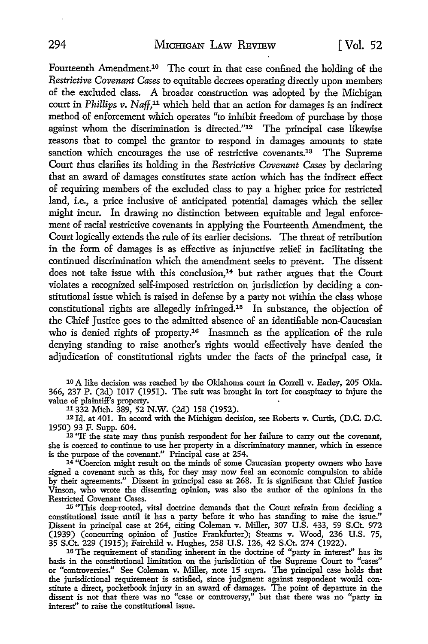Fourteenth Amendment.<sup>10</sup> The court in that case confined the holding of the *Restrictive Covenant Cases* to equitable decrees operating directly upon members of the excluded class. A broader construction was adopted by the Michigan court in *Phillips v. Naff,"* which held that an action for damages is an indirect method of enforcement which operates "to inhibit freedom of purchase by those against whom the discrimination is directed."<sup>12</sup> The principal case likewise reasons that to compel the grantor to respond in damages amounts to state sanction which encourages the use of restrictive covenants.<sup>13</sup> The Supreme Court thus clarifies its holding in the *Restrictive Covenant Cases* by declaring that an award of damages constitutes state action which has the indirect effect of requiring members of the excluded class to pay a higher price for restricted land, i.e., a price inclusive of anticipated potential damages which the seller might incur. In drawing no distinction between equitable and legal enforcement of racial restrictive covenants in applying the Fourteenth Amendment, the Court logically extends the rule of its earlier decisions. The threat of retribution in the form of damages is as effective as injunctive relief in facilitating the continued discrimination which the amendment seeks to prevent. The dissent does not take issue with this conclusion,<sup>14</sup> but rather argues that the Court violates a recognized self-imposed restriction on jurisdiction by deciding a constitutional issue which is raised in defense by a party not within the class whose constitutional rights are allegedly infringed.<sup>15</sup> In substance, the objection of the Chief Justice goes to the admitted absence of an identifiable non-Caucasian who is denied rights of property.<sup>16</sup> Inasmuch as the application of the rule denying standing to raise another's rights would effectively have denied the adjudication of constitutional rights under the facts of the principal case, it

**<sup>10</sup>**A like decision was reached by the Oklahoma court in Correll v. Earley, 205 Okla. 366, 237 P. (2d) 1017 (1951). The suit was brought in tort for conspiracy to injure the value of plaintiff's property.

**11332** Mich. 389, 52 N.W. (2d) **158 (1952).**

**<sup>12</sup>Id.** at 401. In accord with the Michigan decision, see Roberts v. Curtis, (D.C. D.C. **1950)** 93 F. Supp. 604.

**<sup>13</sup>**"If the state may thus punish respondent for her failure to carry out the covenant, she is coerced to continue to use her property in a discriminatory manner, which in essence is the purpose of the covenant." Principal case at 254.

 $14$  "Coercion might result on the minds of some Caucasian property owners who have signed a covenant such as this, for they may now feel an economic compulsion to abide by their agreements." Dissent in principal case at 268. It is significant that Chief Justice Vinson, who wrote the dissenting opinion, was also the author of the opinions in the

Restricted Covenant Cases.<br><sup>15</sup> "This deep-rooted, vital doctrine demands that the Court refrain from deciding a constitutional issue until it has a party before it who has standing to raise the issue." Dissent in principal case at 264, citing Coleman v. Miller, 307 U.S. 433, 59 S.Ct. 972 (1939) (concurring opinion of Justice Frankfurter); Stearns v. Wood, 236 U.S. **75,** 35 S.Ct. 229 **(1915);** Fairchild v. Hughes, 258 U.S. 126, 42 S.Ct. 274 **(1922).**

**<sup>16</sup>**The requirement of standing inherent in the doctrine of "party in interest" has its basis in the constitutional limitation on the jurisdiction of the Supreme Court to "cases" or "controversies." See Coleman v. Miller, note **15** supra. The principal case holds that the jurisdictional requirement is satisfied, since judgment against respondent would con-<br>stitute a direct, pocketbook injury in an award of damages. The point of departure in the dissent is not that there was no "case or controversy," but that there was no "party in interest" to raise the constitutional issue.